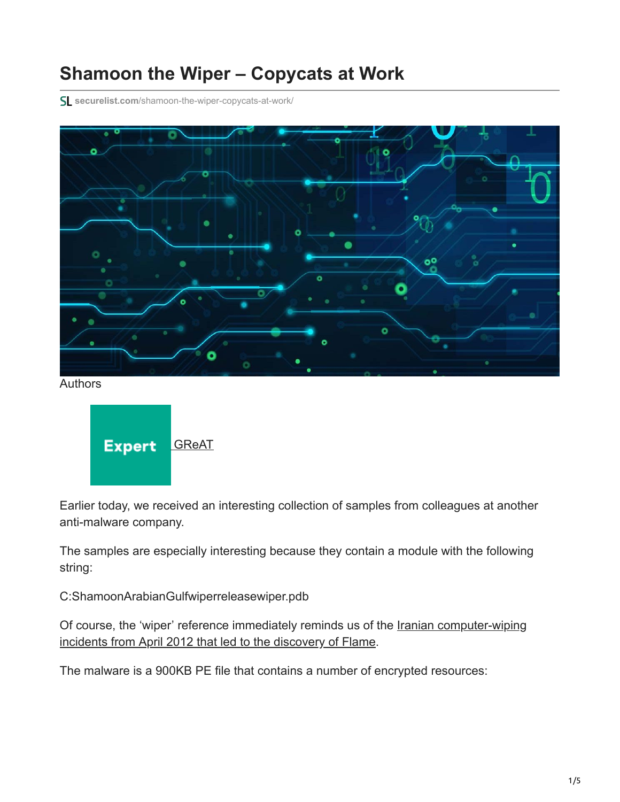## **Shamoon the Wiper – Copycats at Work**

**securelist.com**[/shamoon-the-wiper-copycats-at-work/](https://securelist.com/shamoon-the-wiper-copycats-at-work/)



Authors



Earlier today, we received an interesting collection of samples from colleagues at another anti-malware company.

The samples are especially interesting because they contain a module with the following string:

C:ShamoonArabianGulfwiperreleasewiper.pdb

[Of course, the 'wiper' reference immediately reminds us of the Iranian computer-wiping](https://securelist.com/the-flame-questions-and-answers/34344/) incidents from April 2012 that led to the discovery of Flame.

The malware is a 900KB PE file that contains a number of encrypted resources: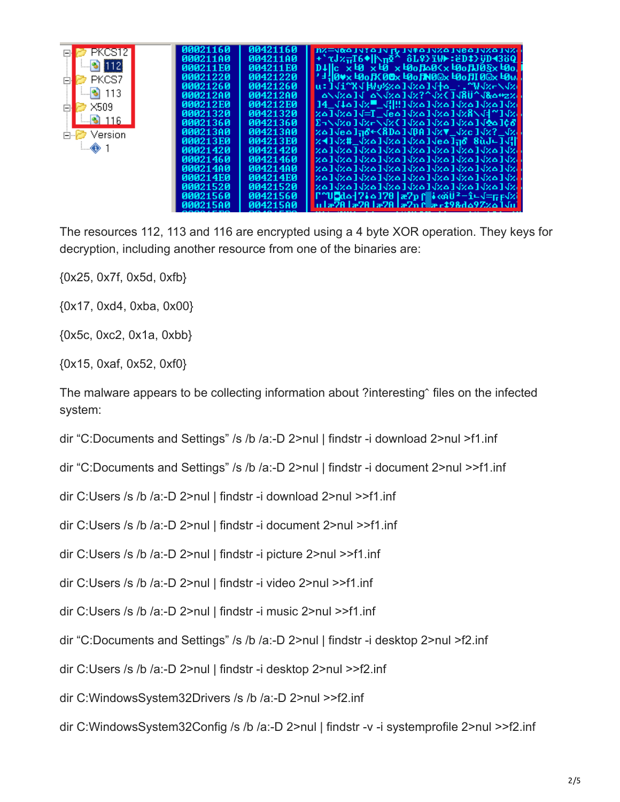



The resources 112, 113 and 116 are encrypted using a 4 byte XOR operation. They keys for decryption, including another resource from one of the binaries are:

{0x25, 0x7f, 0x5d, 0xfb}

{0x17, 0xd4, 0xba, 0x00}

{0x5c, 0xc2, 0x1a, 0xbb}

{0x15, 0xaf, 0x52, 0xf0}

The malware appears to be collecting information about ?interesting^ files on the infected system:

dir "C:Documents and Settings" /s /b /a:-D 2>nul | findstr -i download 2>nul >f1.inf

dir "C:Documents and Settings" /s /b /a:-D 2>nul | findstr -i document 2>nul >>f1.inf

dir C:Users /s /b /a:-D 2>nul | findstr -i download 2>nul >>f1.inf

dir C:Users /s /b /a:-D 2>nul | findstr -i document 2>nul >>f1.inf

dir C:Users /s /b /a:-D 2>nul | findstr -i picture 2>nul >>f1.inf

dir C:Users /s /b /a:-D 2>nul | findstr -i video 2>nul >>f1.inf

dir C:Users /s /b /a:-D 2>nul | findstr -i music 2>nul >>f1.inf

dir "C:Documents and Settings" /s /b /a:-D 2>nul | findstr -i desktop 2>nul >f2.inf

dir C:Users /s /b /a:-D 2>nul | findstr -i desktop 2>nul >>f2.inf

dir C:WindowsSystem32Drivers /s /b /a:-D 2>nul >>f2.inf

dir C:WindowsSystem32Config /s /b /a:-D 2>nul | findstr -v -i systemprofile 2>nul >>f2.inf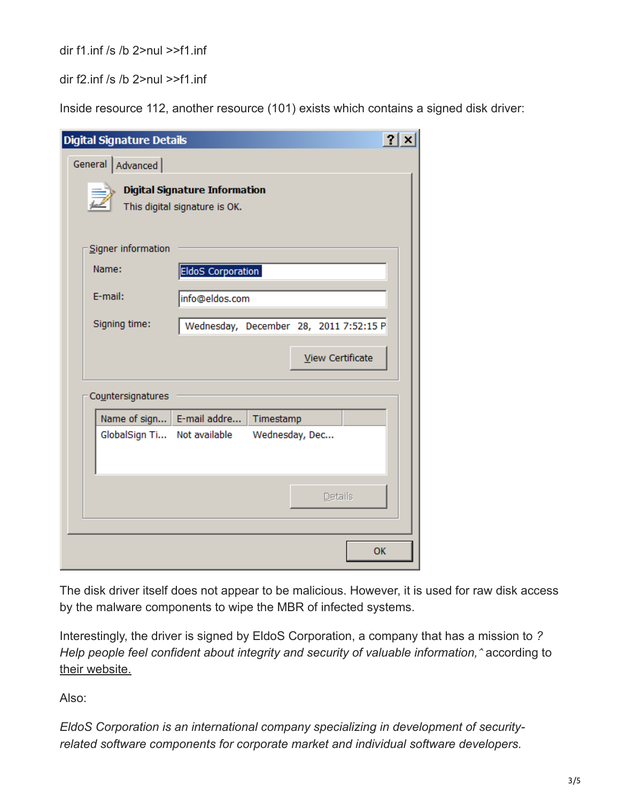dir f1.inf /s /b 2>nul >>f1.inf

dir f2.inf /s /b 2>nul >>f1.inf

Inside resource 112, another resource (101) exists which contains a signed disk driver:

| <b>Digital Signature Details</b>                                      |                                        |                |  |         |                  | $2$ $\times$ |
|-----------------------------------------------------------------------|----------------------------------------|----------------|--|---------|------------------|--------------|
| General   Advanced                                                    |                                        |                |  |         |                  |              |
| <b>Digital Signature Information</b><br>This digital signature is OK. |                                        |                |  |         |                  |              |
| Signer information                                                    |                                        |                |  |         |                  |              |
| Name:                                                                 | <b>EldoS Corporation</b>               |                |  |         |                  |              |
| E-mail:                                                               | info@eldos.com                         |                |  |         |                  |              |
| Signing time:                                                         | Wednesday, December 28, 2011 7:52:15 P |                |  |         |                  |              |
|                                                                       |                                        |                |  |         | View Certificate |              |
| Countersignatures                                                     |                                        |                |  |         |                  |              |
| Name of sign                                                          | E-mail addre                           | Timestamp      |  |         |                  |              |
| GlobalSign Ti Not available                                           |                                        | Wednesday, Dec |  |         |                  |              |
|                                                                       |                                        |                |  | Details |                  |              |
|                                                                       |                                        |                |  |         | OK               |              |

The disk driver itself does not appear to be malicious. However, it is used for raw disk access by the malware components to wipe the MBR of infected systems.

Interestingly, the driver is signed by EldoS Corporation, a company that has a mission to *? Help people feel confident about integrity and security of valuable information,* according to [their website.](https://www.eldos.com/)

Also:

*EldoS Corporation is an international company specializing in development of securityrelated software components for corporate market and individual software developers.*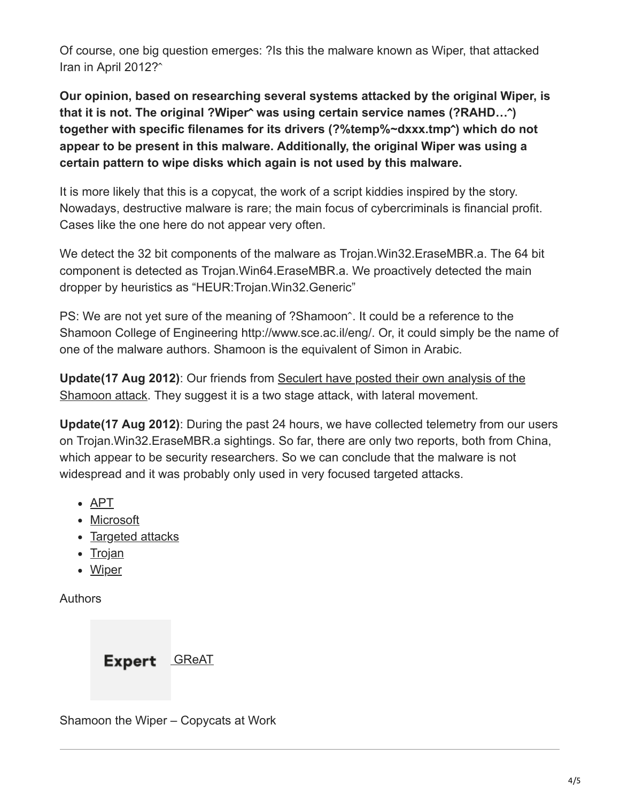Of course, one big question emerges: ?Is this the malware known as Wiper, that attacked Iran in April 2012?

**Our opinion, based on researching several systems attacked by the original Wiper, is that it is not. The original ?Wiper was using certain service names (?RAHD…) together with specific filenames for its drivers (?%temp%~dxxx.tmp) which do not appear to be present in this malware. Additionally, the original Wiper was using a certain pattern to wipe disks which again is not used by this malware.**

It is more likely that this is a copycat, the work of a script kiddies inspired by the story. Nowadays, destructive malware is rare; the main focus of cybercriminals is financial profit. Cases like the one here do not appear very often.

We detect the 32 bit components of the malware as Trojan.Win32.EraseMBR.a. The 64 bit component is detected as Trojan.Win64.EraseMBR.a. We proactively detected the main dropper by heuristics as "HEUR:Trojan.Win32.Generic"

PS: We are not yet sure of the meaning of ?Shamoon^. It could be a reference to the Shamoon College of Engineering http://www.sce.ac.il/eng/. Or, it could simply be the name of one of the malware authors. Shamoon is the equivalent of Simon in Arabic.

**Update(17 Aug 2012)**: Our friends from Seculert have posted their own analysis of the [Shamoon attack. They suggest it is a two stage attack, with lateral movement.](https://web.archive.org/web/20120820024808/http://blog.seculert.com/2012/08/shamoon-two-stage-targeted-attack.html)

**Update(17 Aug 2012)**: During the past 24 hours, we have collected telemetry from our users on Trojan.Win32.EraseMBR.a sightings. So far, there are only two reports, both from China, which appear to be security researchers. So we can conclude that the malware is not widespread and it was probably only used in very focused targeted attacks.

- [APT](https://securelist.com/tag/apt/)
- [Microsoft](https://securelist.com/tag/microsoft/)
- [Targeted attacks](https://securelist.com/tag/targeted-attacks/)
- $\cdot$  [Trojan](https://securelist.com/tag/trojan/)
- [Wiper](https://securelist.com/tag/wiper/)

Authors

## Expert **[GReAT](https://securelist.com/author/great/)**

Shamoon the Wiper – Copycats at Work